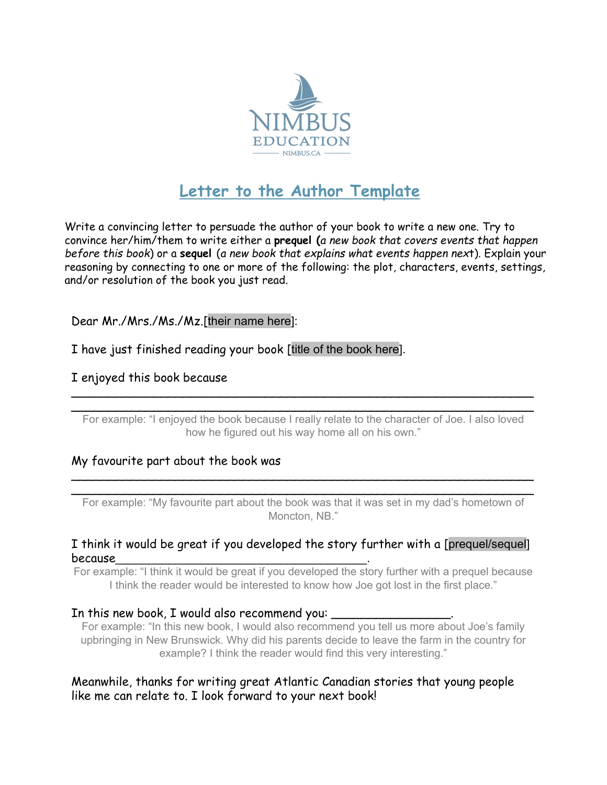

# **Letter to the Author Template**

Write a convincing letter to persuade the author of your book to write a new one. Try to convince her/him/them to write either a **prequel (***a new book that covers events that happen before this book*) or a **sequel** (*a new book that explains what events happen nex*t). Explain your reasoning by connecting to one or more of the following: the plot, characters, events, settings, and/or resolution of the book you just read.

Dear Mr./Mrs./Ms./Mz.[their name here]:

I have just finished reading your book [title of the book here].

## I enjoyed this book because

 $\overline{\phantom{a}}$ For example: "I enjoyed the book because I really relate to the character of Joe. I also loved how he figured out his way home all on his own."

 $\overline{\phantom{a}}$ 

## My favourite part about the book was

 $\overline{\phantom{a}}$ For example: "My favourite part about the book was that it was set in my dad's hometown of Moncton, NB."

 $\overline{\phantom{a}}$ 

#### I think it would be great if you developed the story further with a [prequel/sequel] because\_\_\_\_\_\_\_\_\_\_\_\_\_\_\_\_\_\_\_\_\_\_\_\_\_\_\_\_\_\_\_\_\_\_\_\_\_\_.

For example: "I think it would be great if you developed the story further with a prequel because I think the reader would be interested to know how Joe got lost in the first place."

## In this new book, I would also recommend you:

For example: "In this new book, I would also recommend you tell us more about Joe's family upbringing in New Brunswick. Why did his parents decide to leave the farm in the country for example? I think the reader would find this very interesting."

## Meanwhile, thanks for writing great Atlantic Canadian stories that young people like me can relate to. I look forward to your next book!